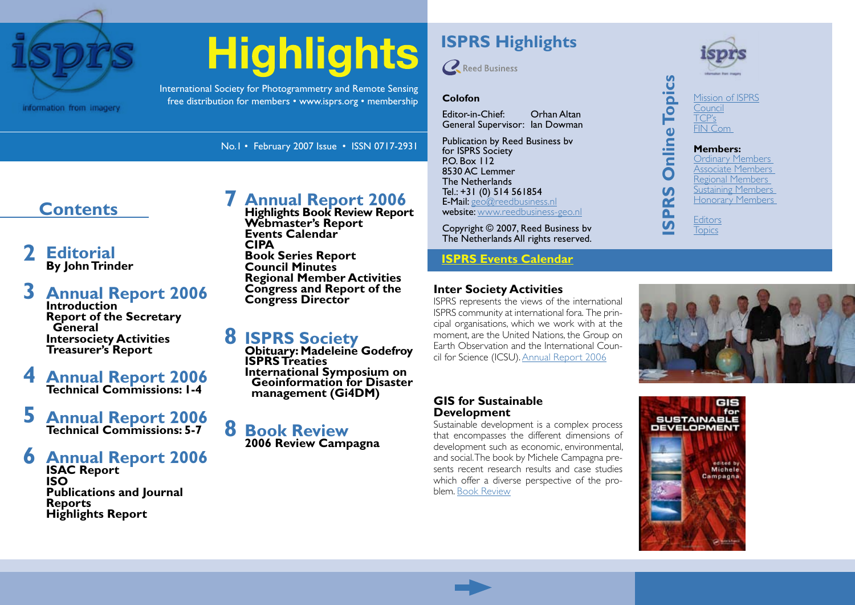

# **Highlights**

No.1 • February 2007 Issue • ISSN 0717-2931

**[Annual Report 2006](#page-6-0) Highlights Book Review Report**

**Regional Member Activities Congress and Report of the** 

**Webmaster's Report Events Calendar**

**Book Series Report Council Minutes**

**Congress Director**

**CIPA**

**[7](#page-6-0)**

International Society for Photogrammetry and Remote Sensing free distribution for members • [www.isprs.org](http://www.isprs.org) • [membership](http://www.isprs.org/members/benefits.html) **Colofon**

# **ISPRS Highlights**



Editor-in-Chief: Orhan Altan General Supervisor: Ian Dowman

Publication by Reed Business bv for ISPRS Society PO. Box 112 8530 AC Lemmer The Netherlands Tel.: +31 (0) 514 561854 E-Mail: [geo@reedbusiness.nl](mailto:geo@reedbusiness.nl) website: [www.reedbusiness-geo.nl](http://www.reedbusiness-geo.nl)

Copyright © 2007, Reed Business bv The Netherlands All rights reserved.

#### **[ISPRS Events Calendar](http://www.isprs.org/calendar.html)**

#### **Inter Society Activities**

ISPRS represents the views of the international ISPRS community at international fora. The principal organisations, which we work with at the moment, are the United Nations, the Group on Earth Observation and the International Council for Science (ICSU). [Annual Report 2006](#page-2-0)



**[Topics](http://www.isprs.org/table.html)** 

 $\overline{v}$ 



[Ordinary Members](http://www.isprs.org/members/ordinary.html) [Associate Members](http://www.isprs.org/members/associate.html) [Regional Members](http://www.isprs.org/members/regional.html) [Sustaining Members](http://www.isprs.org/members/sustaining.html) [Honorary Members](http://www.isprs.org/members/honorary.html) **[Editors](http://www.isprs.org/structure/editors.html)** 

### **[Editorial](#page-1-0) [2](#page-1-0)**

**Contents**

**By John Trinder**

#### **[Annual Report 2006](#page-2-0) Introduction Report of the Secretary General Intersociety Activities Treasurer's Report [3](#page-2-0)**

**[Annual Report 2006](#page-3-0) Technical Commissions: 1-4 [4](#page-3-0)**

#### **[Annual Report 2006](#page-4-0) Technical Commissions: 5-7 [5](#page-4-0)**

#### **[Annual Report 2006](#page-5-0) [6](#page-5-0)**

**ISAC Report ISO Publications and Journal Reports Highlights Report**

**[8](#page-7-0) [ISPRS Society](#page-7-0) Obituary: Madeleine Godefroy ISPRS Treaties International Symposium on Geoinformation for Disaster management (Gi4DM)**

#### **B[ook Review](#page-7-0) 2006 Review Campagna [8](#page-7-0)**

#### **GIS for Sustainable Development**

Sustainable development is a complex process that encompasses the different dimensions of development such as economic, environmental, and social. The book by Michele Campagna presents recent research results and case studies which offer a diverse perspective of the problem. [Book Review](#page-7-0)



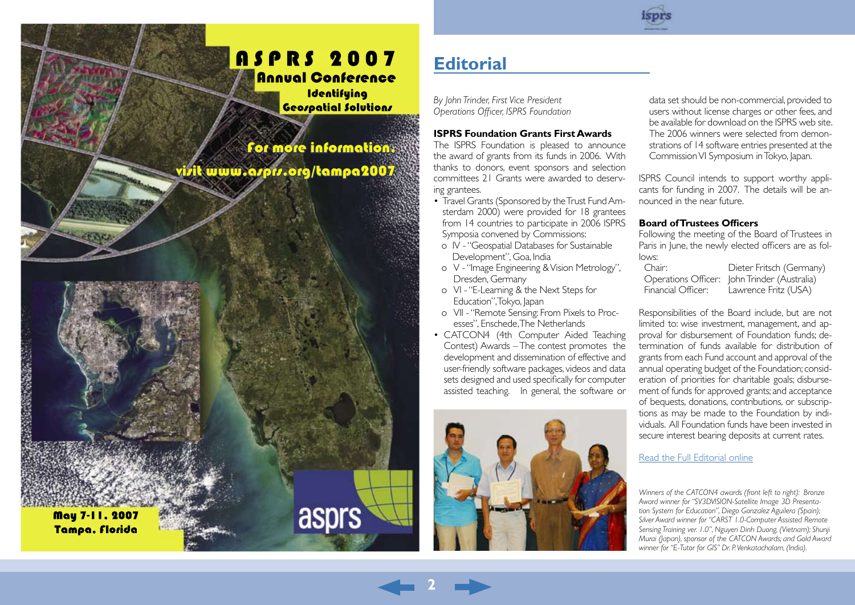# <span id="page-1-0"></span>**ASPRS 2007** Annual Conference

**Identifuing** Geospatial Solutions

asprs

For more information, [visit www.asprs.org/tampa2007](http://www.asprs.org/tampa2007)

May 7-11, 2007 Tampa, Florida

「大阪の のうかい あいまん



# **Editorial**

*By John Trinder, First Vice President Operations Officer, ISPRS Foundation*

#### **ISPRS Foundation Grants First Awards**

The ISPRS Foundation is pleased to announce the award of grants from its funds in 2006. With thanks to donors, event sponsors and selection committees 21 Grants were awarded to deserving grantees.

- Travel Grants (Sponsored by the Trust Fund Amsterdam 2000) were provided for 18 grantees from 14 countries to participate in 2006 ISPRS Symposia convened by Commissions:
- o IV "Geospatial Databases for Sustainable Development", Goa, India
- o V "Image Engineering & Vision Metrology", Dresden, Germany
- o VI "E-Learning & the Next Steps for Education", Tokyo, Japan
- o VII "Remote Sensing: From Pixels to Processes", Enschede, The Netherlands
- CATCON4 (4th Computer Aided Teaching Contest) Awards – The contest promotes the development and dissemination of effective and user-friendly software packages, videos and data sets designed and used specifically for computer assisted teaching. In general, the software or



**2**

data set should be non-commercial, provided to users without license charges or other fees, and be available for download on the ISPRS web site. The 2006 winners were selected from demonstrations of 14 software entries presented at the Commission VI Symposium in Tokyo, Japan.

ISPRS Council intends to support worthy applicants for funding in 2007. The details will be announced in the near future.

#### **Board of Trustees Officers**

Following the meeting of the Board of Trustees in Paris in June, the newly elected officers are as follows:

| Chair:             | Dieter Fritsch (Germany)                     |
|--------------------|----------------------------------------------|
|                    | Operations Officer: John Trinder (Australia) |
| Financial Officer: | Lawrence Fritz (USA)                         |

Responsibilities of the Board include, but are not limited to: wise investment, management, and approval for disbursement of Foundation funds; determination of funds available for distribution of grants from each Fund account and approval of the annual operating budget of the Foundation; consideration of priorities for charitable goals; disbursement of funds for approved grants; and acceptance of bequests, donations, contributions, or subscriptions as may be made to the Foundation by individuals. All Foundation funds have been invested in secure interest bearing deposits at current rates.

#### [Read the Full Editorial online](http://www.isprs.org/publications/highlights/highlights0207/edito.html)

*Winners of the CATCON4 awards (front left to right): Bronze Award winner for "SV3DVISION-Satellite Image 3D Presentation System for Education", Diego Gonzalez Aguilera (Spain); Silver Award winner for "CARST 1.0-Computer Assisted Remote Sensing Training ver. 1.0", Nguyen Dinh Duong, (Vietnam); Shunji Murai (Japan), sponsor of the CATCON Awards; and Gold Award winner for "E-Tutor for GIS" Dr. P. Venkatachalam, (India).*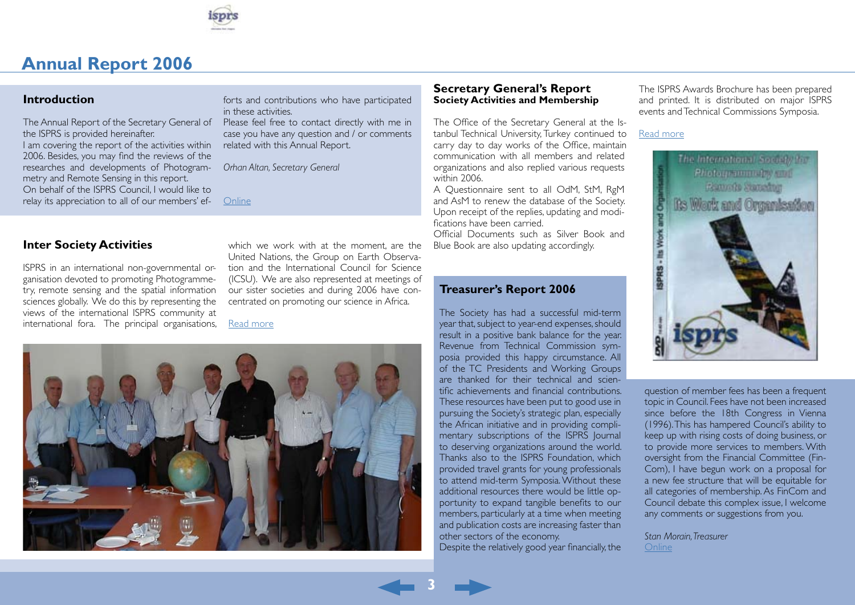

#### <span id="page-2-0"></span>**Introduction**

The Annual Report of the Secretary General of the ISPRS is provided hereinafter. I am covering the report of the activities within 2006. Besides, you may find the reviews of the researches and developments of Photogrammetry and Remote Sensing in this report. On behalf of the ISPRS Council, I would like to relay its appreciation to all of our members' ef-

forts and contributions who have participated in these activities.

Please feel free to contact directly with me in case you have any question and / or comments related with this Annual Report.

*Orhan Altan, Secretary General* 

**[Online](http://www.isprs.org/publications/highlights/highlights0207/ar-intro.html)** 

ISPRS in an international non-governmental organisation devoted to promoting Photogrammetry, remote sensing and the spatial information sciences globally. We do this by representing the views of the international ISPRS community at international fora. The principal organisations,

**Inter Society Activities Blue are which we work with at the moment, are the** Blue Book are also updating accordingly. United Nations, the Group on Earth Observation and the International Council for Science (ICSU). We are also represented at meetings of our sister societies and during 2006 have concentrated on promoting our science in Africa.

[Read more](http://www.isprs.org/publications/highlights/highlights0207/ar-intersocietalact.html)



#### **Secretary General's Report Society Activities and Membership**

The Office of the Secretary General at the Istanbul Technical University, Turkey continued to carry day to day works of the Office, maintain communication with all members and related organizations and also replied various requests within 2006.

A Questionnaire sent to all OdM, StM, RgM and AsM to renew the database of the Society. Upon receipt of the replies, updating and modifications have been carried.

Official Documents such as Silver Book and

#### **Treasurer's Report 2006**

The Society has had a successful mid-term year that, subject to year-end expenses, should result in a positive bank balance for the year. Revenue from Technical Commission symposia provided this happy circumstance. All of the TC Presidents and Working Groups are thanked for their technical and scientific achievements and financial contributions. These resources have been put to good use in pursuing the Society's strategic plan, especially the African initiative and in providing complimentary subscriptions of the ISPRS Journal to deserving organizations around the world. Thanks also to the ISPRS Foundation, which provided travel grants for young professionals to attend mid-term Symposia. Without these additional resources there would be little opportunity to expand tangible benefits to our members, particularly at a time when meeting and publication costs are increasing faster than other sectors of the economy.

Despite the relatively good year financially, the

**3**

The ISPRS Awards Brochure has been prepared and printed. It is distributed on major ISPRS events and Technical Commissions Symposia.

#### [Read more](http://www.isprs.org/publications/highlights/highlights0207/ar-sgreport.html)



question of member fees has been a frequent topic in Council. Fees have not been increased since before the 18th Congress in Vienna (1996). This has hampered Council's ability to keep up with rising costs of doing business, or to provide more services to members. With oversight from the Financial Committee (Fin-Com), I have begun work on a proposal for a new fee structure that will be equitable for all categories of membership. As FinCom and Council debate this complex issue, I welcome any comments or suggestions from you.

*Stan Morain, Treasurer* [Online](http://www.isprs.org/publications/highlights/highlights0207/ar-treasurer.html)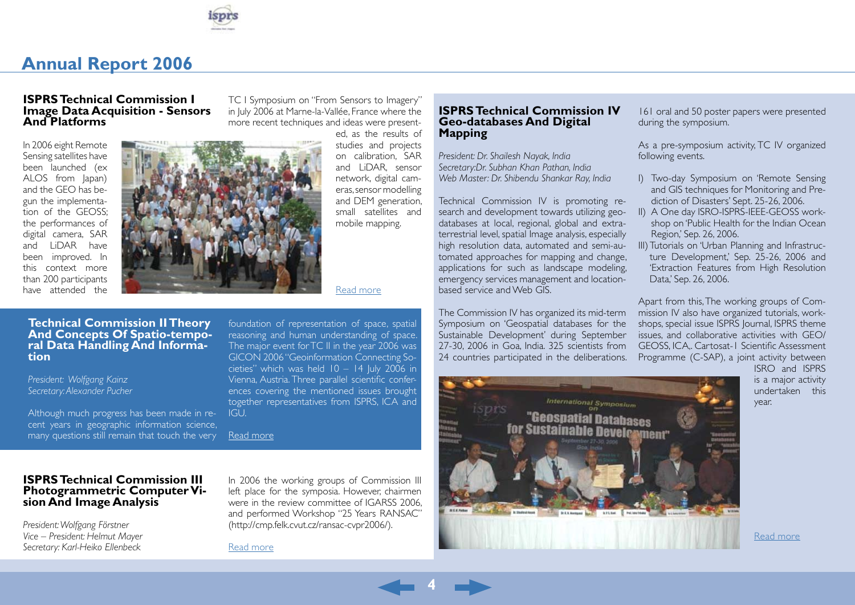

#### <span id="page-3-0"></span>**ISPRS Technical Commission I Image Data Acquisition - Sensors And Platforms**

In 2006 eight Remote Sensing satellites have been launched (ex ALOS from Japan) and the GEO has begun the implementation of the GEOSS; the performances of digital camera, SAR and LiDAR have been improved. In this context more than 200 participants have attended the



TC I Symposium on "From Sensors to Imagery" in July 2006 at Marne-la-Vallée, France where the more recent techniques and ideas were present-

> ed, as the results of studies and projects on calibration, SAR and LiDAR sensor network, digital cameras, sensor modelling and DEM generation, small satellites and mobile mapping.

#### [Read more](http://www.isprs.org/publications/highlights/highlights0207/ar-tc1.html)

#### **Geo-databases And Digital Mapping**

**ISPRS Technical Commission IV**

*President: Dr. Shailesh Nayak, India Secretary:Dr. Subhan Khan Pathan, India Web Master: Dr. Shibendu Shankar Ray, India*

Technical Commission IV is promoting research and development towards utilizing geodatabases at local, regional, global and extraterrestrial level, spatial Image analysis, especially high resolution data, automated and semi-automated approaches for mapping and change, applications for such as landscape modeling, emergency services management and locationbased service and Web GIS.

The Commission IV has organized its mid-term Symposium on 'Geospatial databases for the Sustainable Development' during September 27-30, 2006 in Goa, India. 325 scientists from 24 countries participated in the deliberations.



161 oral and 50 poster papers were presented during the symposium.

As a pre-symposium activity, TC IV organized following events.

- I) Two-day Symposium on 'Remote Sensing and GIS techniques for Monitoring and Prediction of Disasters' Sept. 25-26, 2006.
- II) A One day ISRO-ISPRS-IEEE-GEOSS workshop on 'Public Health for the Indian Ocean Region,' Sep. 26, 2006.
- III) Tutorials on 'Urban Planning and Infrastructure Development,' Sep. 25-26, 2006 and 'Extraction Features from High Resolution Data,' Sep. 26, 2006.

Apart from this, The working groups of Commission IV also have organized tutorials, workshops, special issue ISPRS Journal, ISPRS theme issues, and collaborative activities with GEO/ GEOSS, ICA,. Cartosat-1 Scientific Assessment Programme (C-SAP), a joint activity between

> ISRO and ISPRS is a major activity undertaken this year.

**Technical Commission II Theory And Concepts Of Spatio-tempo- ral Data Handling And Informa- tion**

*President: Wolfgang Kainz Secretary: Alexander Pucher* 

Although much progress has been made in recent years in geographic information science, many questions still remain that touch the very

reasoning and human understanding of space. The major event for TC II in the year 2006 was GICON 2006 "Geoinformation Connecting Societies" which was held  $10 - 14$  July 2006 in Vienna, Austria. Three parallel scientific conferences covering the mentioned issues brought together representatives from ISPRS, ICA and IGU.

foundation of representation of space, spatial

[Read more](http://www.isprs.org/publications/highlights/highlights0207/ar-tc2.html)

## **ISPRS Technical Commission III Photogrammetric Computer Vi- sion And Image Analysis**

*President: Wolfgang Förstner Vice – President: Helmut Mayer Secretary: Karl-Heiko Ellenbeck*

In 2006 the working groups of Commission III left place for the symposia. However, chairmen were in the review committee of IGARSS 2006, and performed Workshop "25 Years RANSAC" (http://cmp.felk.cvut.cz/ransac-cvpr2006/).

**4**

[Read more](http://www.isprs.org/publications/highlights/highlights0207/ar-tc3.html)

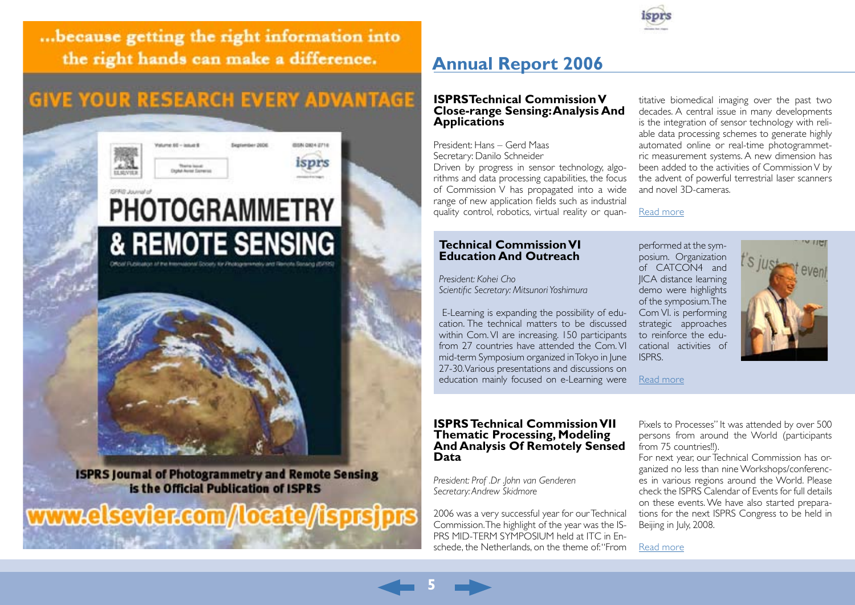<span id="page-4-0"></span>... because getting the right information into the right hands can make a difference.

# **GIVE YOUR RESEARCH EVERY ADVANTAGE**



# **& REMOTE SENSING**

**ISPRS Journal of Photogrammetry and Remote Sensing** is the Official Publication of ISPRS

www.elsevier.com/locate//isprsjprs

# **Annual Report 2006**

#### **ISPRSTechnical Commission V Close-range Sensing: Analysis And Applications**

President: Hans – Gerd Maas Secretary: Danilo Schneider

Driven by progress in sensor technology, algorithms and data processing capabilities, the focus of Commission V has propagated into a wide range of new application fields such as industrial quality control, robotics, virtual reality or quan-

#### **Technical Commission VI [Education And Outreach](http://www.isprs.org/publications/highlights/highlights0207/ar-tc6.html)**

*[President: Kohei Cho](http://www.isprs.org/publications/highlights/highlights0207/ar-tc6.html) [Scientific Secretary: Mitsunori Yoshimura](http://www.isprs.org/publications/highlights/highlights0207/ar-tc6.html)*

 [E-Learning is expanding the possibility of edu](http://www.isprs.org/publications/highlights/highlights0207/ar-tc6.html)[cation. The technical matters to be discussed](http://www.isprs.org/publications/highlights/highlights0207/ar-tc6.html) [within Com. VI are increasing. 150 participants](http://www.isprs.org/publications/highlights/highlights0207/ar-tc6.html) [from 27 countries have attended the Com. VI](http://www.isprs.org/publications/highlights/highlights0207/ar-tc6.html) [mid-term Symposium organized in Tokyo in June](http://www.isprs.org/publications/highlights/highlights0207/ar-tc6.html) [27-30. Various presentations and discussions on](http://www.isprs.org/publications/highlights/highlights0207/ar-tc6.html) [education mainly focused on e-Learning were](http://www.isprs.org/publications/highlights/highlights0207/ar-tc6.html)

#### **ISPRS Technical Commission VII Thematic Processing, Modeling And Analysis Of Remotely Sensed Data**

*President: Prof .Dr .John van Genderen Secretary: Andrew Skidmore*

**5**

2006 was a very successful year for our Technical Commission. The highlight of the year was the IS-PRS MID-TERM SYMPOSIUM held at ITC in Enschede, the Netherlands, on the theme of: "From titative biomedical imaging over the past two decades. A central issue in many developments is the integration of sensor technology with reliable data processing schemes to generate highly automated online or real-time photogrammetric measurement systems. A new dimension has been added to the activities of Commission V by the advent of powerful terrestrial laser scanners and novel 3D-cameras.

[Read more](http://www.isprs.org/publications/highlights/highlights0207/ar-tc5.html)

[performed at the sym](http://www.isprs.org/publications/highlights/highlights0207/ar-tc6.html)[posium. Organization](http://www.isprs.org/publications/highlights/highlights0207/ar-tc6.html)  [of CATCON4 and](http://www.isprs.org/publications/highlights/highlights0207/ar-tc6.html)  [JICA distance learning](http://www.isprs.org/publications/highlights/highlights0207/ar-tc6.html)  [demo were highlights](http://www.isprs.org/publications/highlights/highlights0207/ar-tc6.html)  [of the symposium. The](http://www.isprs.org/publications/highlights/highlights0207/ar-tc6.html)  [Com VI. is performing](http://www.isprs.org/publications/highlights/highlights0207/ar-tc6.html)  [strategic approaches](http://www.isprs.org/publications/highlights/highlights0207/ar-tc6.html)  [to reinforce the edu](http://www.isprs.org/publications/highlights/highlights0207/ar-tc6.html)[cational activities of](http://www.isprs.org/publications/highlights/highlights0207/ar-tc6.html)  [ISPRS.](http://www.isprs.org/publications/highlights/highlights0207/ar-tc6.html)



[Read more](http://www.isprs.org/publications/highlights/highlights0207/ar-tc6.html)

Pixels to Processes" It was attended by over 500 persons from around the World (participants from 75 countries!!).

For next year, our Technical Commission has organized no less than nine Workshops/conferences in various regions around the World. Please check the ISPRS Calendar of Events for full details on these events. We have also started preparations for the next ISPRS Congress to be held in Beijing in July, 2008.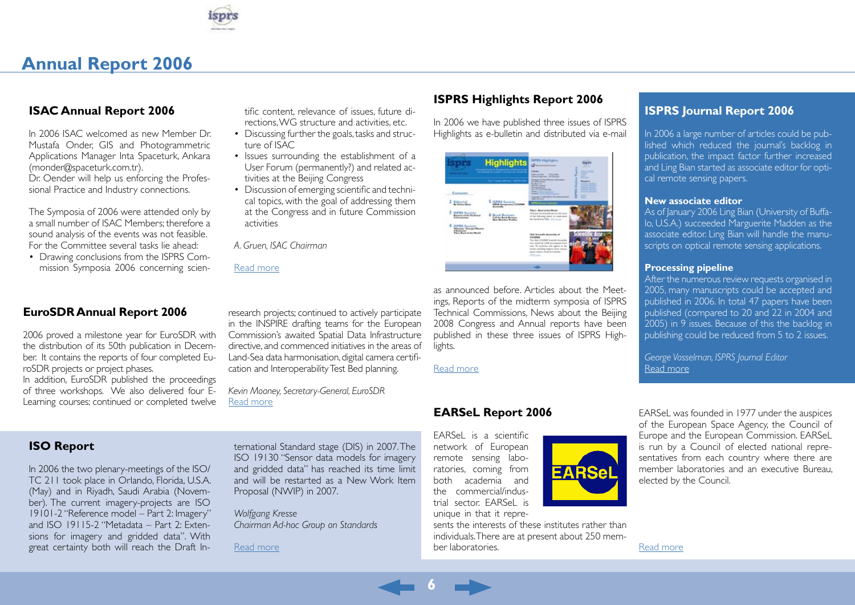

#### <span id="page-5-0"></span>**ISAC Annual Report 2006**

In 2006 ISAC welcomed as new Member Dr. Mustafa Onder, GIS and Photogrammetric Applications Manager Inta Spaceturk, Ankara (monder@spaceturk.com.tr). Dr. Oender will help us enforcing the Professional Practice and Industry connections.

The Symposia of 2006 were attended only by a small number of ISAC Members; therefore a sound analysis of the events was not feasible. For the Committee several tasks lie ahead:

• Drawing conclusions from the ISPRS Commission Symposia 2006 concerning scientific content, relevance of issues, future directions, WG structure and activities, etc.

- Discussing further the goals, tasks and structure of ISAC
- Issues surrounding the establishment of a User Forum (permanently?) and related activities at the Beijing Congress
- Discussion of emerging scientific and technical topics, with the goal of addressing them at the Congress and in future Commission activities

*A. Gruen, ISAC Chairman*

[Read more](http://www.isprs.org/publications/highlights/highlights0207/ar-isac.html)

#### **ISPRS Highlights Report 2006**

In 2006 we have published three issues of ISPRS Highlights as e-bulletin and distributed via e-mail

| this deadlines by dealers' consider by 1<br>No. 3 - Cheese Children - Milled<br>Contants.                                                                                                                                                                                                                                                  | <b>Game</b><br><b>Senator</b><br>-<br><b>AMANGERS</b><br><b>Total Arts</b><br>-<br><b>Green of American - Inc. Extension</b><br><b>Rakes and In Red Research McGarrer</b><br><b>Poster</b><br><b>A. EFRI Home</b><br><b>Britished Edit</b><br><b><i>SALES DE ALLE</i></b><br><b>British College</b><br><b>Contract Contract</b><br>The Dedicational<br><b>Carlos Street</b>                                                                                                                                                                                                 |
|--------------------------------------------------------------------------------------------------------------------------------------------------------------------------------------------------------------------------------------------------------------------------------------------------------------------------------------------|-----------------------------------------------------------------------------------------------------------------------------------------------------------------------------------------------------------------------------------------------------------------------------------------------------------------------------------------------------------------------------------------------------------------------------------------------------------------------------------------------------------------------------------------------------------------------------|
| <b>SPRS Society</b><br>2 Editorial<br><b>ASE Economism COMPAR</b><br>3 HPRS Seciety<br><b>Book Banteres</b><br><b>Requests of the Broders</b><br>Call for Book Research<br><b>Skow Musicker Fredrice</b><br>HPRS Society<br><b>Oldssa's: Goorges Masses</b><br><b>CRASH</b><br>There Rund of the Work<br><b>Control of the Art Control</b> | <b>Scribble Exchange</b><br><b>London's Develop</b><br><b>A Photo construction of the American</b><br><b>Service College</b><br><b>Solicit Committee Committee</b><br>$\sim$<br>Trappage IT 500, 80 to 760 Nationwick At<br><br><b>MALLAGER</b><br><b>SAFAH Roads Colombia</b><br>Tited : Real of the World<br>Char-backershirtship storts stations<br>of the following plants to unservance<br>the contention Filled, July Jacques<br><b>Sola vitings</b><br>labels Sciencello Acominably of<br>COMMA<br>The line CEOMM households<br>was street by 2,000 perceipsion from |

as announced before. Articles about the Meetings, Reports of the midterm symposia of ISPRS Technical Commissions, News about the Beijing 2008 Congress and Annual reports have been published in these three issues of ISPRS Highlights.

[Read more](http://www.isprs.org/publications/highlights/highlights0207/ar-highlights.html)

#### **EARSeL Report 2006**

EARSeL is a scientific network of European remote sensing laboratories, coming from both academia and the commercial/industrial sector. EARSeL is unique in that it repre-

**6**



**EARSe** 

#### **ISPRS Journal Report 2006**

In 2006 a large number of articles could be published which reduced the journal's backlog in publication, the impact factor further increased and Ling Bian started as associate editor for optical remote sensing papers.

#### **New associate editor**

As of January 2006 Ling Bian (University of Buffalo, U.S.A.) succeeded Marguerite Madden as the associate editor. Ling Bian will handle the manuscripts on optical remote sensing applications.

#### **Processing pipeline**

After the numerous review requests organised in 2005, many manuscripts could be accepted and published in 2006. In total 47 papers have been published (compared to 20 and 22 in 2004 and 2005) in 9 issues. Because of this the backlog in publishing could be reduced from 5 to 2 issues.

*George Vosselman, ISPRS Journal Editor* [Read more](http://www.isprs.org/publications/highlights/highlights0207/ar-journal.html)

EARSeL was founded in 1977 under the auspices of the European Space Agency, the Council of Europe and the European Commission. EARSeL is run by a Council of elected national representatives from each country where there are member laboratories and an executive Bureau, elected by the Council.

[Read more](http://www.isprs.org/publications/highlights/highlights0207/ar-earsel.html)

#### **EuroSDR Annual Report 2006**

2006 proved a milestone year for EuroSDR with the distribution of its 50th publication in December. It contains the reports of four completed EuroSDR projects or project phases.

In addition, EuroSDR published the proceedings of three workshops. We also delivered four E-Learning courses; continued or completed twelve

research projects; continued to actively participate in the INSPIRE drafting teams for the European Commission's awaited Spatial Data Infrastructure directive, and commenced initiatives in the areas of Land-Sea data harmonisation, digital camera certification and Interoperability Test Bed planning.

*Kevin Mooney, Secretary-General, EuroSDR* [Read more](http://www.isprs.org/publications/highlights/highlights0207/ar-euro-sdr.html)

#### **ISO Report**

In 2006 the two plenary-meetings of the ISO/ TC 211 took place in Orlando, Florida, U.S.A. (May) and in Riyadh, Saudi Arabia (November). The current imagery-projects are ISO 19101-2 "Reference model – Part 2: Imagery" and ISO 19115-2 "Metadata – Part 2: Extensions for imagery and gridded data". With great certainty both will reach the Draft International Standard stage (DIS) in 2007. The ISO 19130 "Sensor data models for imagery and gridded data" has reached its time limit and will be restarted as a New Work Item Proposal (NWIP) in 2007.

*Wolfgang Kresse Chairman Ad-hoc Group on Standards*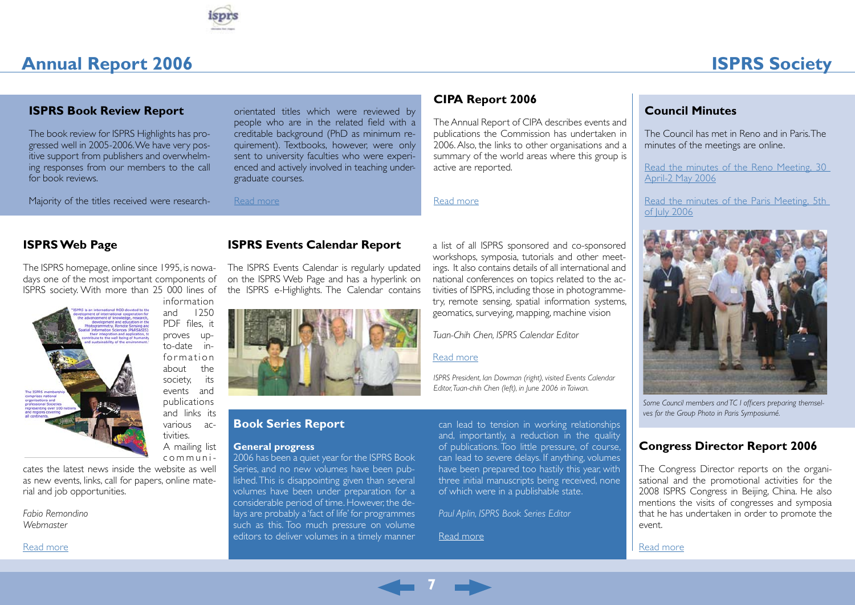

# **ISPRS Society**

#### <span id="page-6-0"></span>**ISPRS Book Review Report**

The book review for ISPRS Highlights has progressed well in 2005-2006. We have very positive support from publishers and overwhelming responses from our members to the call for book reviews.

Majority of the titles received were research-

orientated titles which were reviewed by people who are in the related field with a creditable background (PhD as minimum requirement). Textbooks, however, were only sent to university faculties who were experienced and actively involved in teaching undergraduate courses.

[Read more](http://www.isprs.org/publications/highlights/highlights0207/ar-bookreview.html)

#### **CIPA Report 2006**

The Annual Report of CIPA describes events and publications the Commission has undertaken in 2006. Also, the links to other organisations and a summary of the world areas where this group is active are reported.

[Read more](http://www.isprs.org/publications/highlights/highlights0207/ar-cipa.html)

#### **ISPRS Web Page**

The ISPRS homepage, online since 1995, is nowadays one of the most important components of ISPRS society. With more than 25 000 lines of



and 1250 PDF files, it proves upto-date information about the society, its events and publications and links its various activities. A mailing list c o m m u n i -

cates the latest news inside the website as well as new events, links, call for papers, online material and job opportunities.

*Fabio Remondino Webmaster*

[Read more](http://www.isprs.org/publications/highlights/highlights0207/ar-webmaster.html)

#### **ISPRS Events Calendar Report**

The ISPRS Events Calendar is regularly updated on the ISPRS Web Page and has a hyperlink on the ISPRS e-Highlights. The Calendar contains



#### **Book Series Report**

#### **General progress**

2006 has been a quiet year for the ISPRS Book Series, and no new volumes have been published. This is disappointing given than several volumes have been under preparation for a considerable period of time. However, the delays are probably a 'fact of life' for programmes such as this. Too much pressure on volume editors to deliver volumes in a timely manner

a list of all ISPRS sponsored and co-sponsored workshops, symposia, tutorials and other meetings. It also contains details of all international and national conferences on topics related to the activities of ISPRS, including those in photogrammetry, remote sensing, spatial information systems, geomatics, surveying, mapping, machine vision

*Tuan-Chih Chen, ISPRS Calendar Editor*

#### [Read more](http://www.isprs.org/publications/highlights/highlights0207/ar-eventscalendar.html)

*ISPRS President, Ian Dowman (right), visited Events Calendar Editor, Tuan-chih Chen (left), in June 2006 in Taiwan.*

can lead to tension in working relationships and, importantly, a reduction in the quality of publications. Too little pressure, of course, can lead to severe delays. If anything, volumes have been prepared too hastily this year, with three initial manuscripts being received, none of which were in a publishable state.

*Paul Aplin, ISPRS Book Series Editor*

[Read more](http://www.isprs.org/publications/highlights/highlights0207/ar-bookseries.html)

The Council has met in Reno and in Paris. The minutes of the meetings are online.

**Council Minutes**

[Read the minutes of the Reno Meeting, 30](http://www.isprs.org/publications/highlights/highlights0207/councilminutesreno.html)  [April-2 May 2006](http://www.isprs.org/publications/highlights/highlights0207/councilminutesreno.html)

[Read the minutes of the Paris Meeting, 5th](http://www.isprs.org/publications/highlights/highlights0207/councilminutesparis.html)  [of July 2006](http://www.isprs.org/publications/highlights/highlights0207/councilminutesparis.html)



*Some Council members and TC I officers preparing themselves for the Group Photo in Paris Symposiumé.*

#### **Congress Director Report 2006**

The Congress Director reports on the organisational and the promotional activities for the 2008 ISPRS Congress in Beijing, China. He also mentions the visits of congresses and symposia that he has undertaken in order to promote the event.